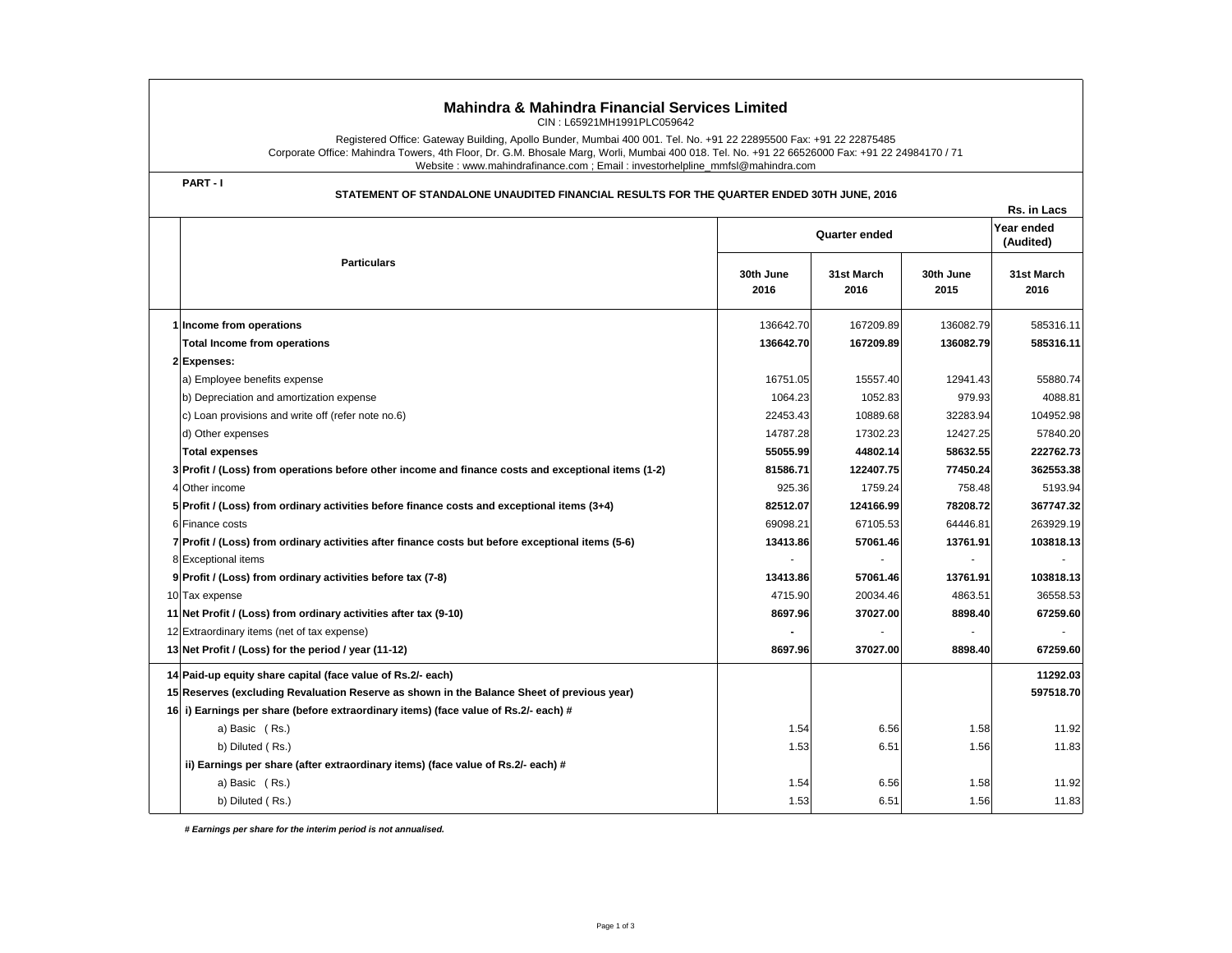| <b>Mahindra &amp; Mahindra Financial Services Limited</b><br>CIN: L65921MH1991PLC059642                                                                                                                                                                                                                                                             |                   |                    |                   |                         |  |  |  |  |
|-----------------------------------------------------------------------------------------------------------------------------------------------------------------------------------------------------------------------------------------------------------------------------------------------------------------------------------------------------|-------------------|--------------------|-------------------|-------------------------|--|--|--|--|
| Registered Office: Gateway Building, Apollo Bunder, Mumbai 400 001. Tel. No. +91 22 22895500 Fax: +91 22 22875485<br>Corporate Office: Mahindra Towers, 4th Floor, Dr. G.M. Bhosale Marg, Worli, Mumbai 400 018. Tel. No. +91 22 66526000 Fax: +91 22 24984170 / 71<br>Website: www.mahindrafinance.com; Email: investorhelpline_mmfsl@mahindra.com |                   |                    |                   |                         |  |  |  |  |
| PART-I<br>STATEMENT OF STANDALONE UNAUDITED FINANCIAL RESULTS FOR THE QUARTER ENDED 30TH JUNE, 2016<br>Rs. in Lacs                                                                                                                                                                                                                                  |                   |                    |                   |                         |  |  |  |  |
|                                                                                                                                                                                                                                                                                                                                                     | Quarter ended     |                    |                   | Year ended<br>(Audited) |  |  |  |  |
| <b>Particulars</b>                                                                                                                                                                                                                                                                                                                                  | 30th June<br>2016 | 31st March<br>2016 | 30th June<br>2015 | 31st March<br>2016      |  |  |  |  |
| 1 Income from operations                                                                                                                                                                                                                                                                                                                            | 136642.70         | 167209.89          | 136082.79         | 585316.11               |  |  |  |  |
| <b>Total Income from operations</b>                                                                                                                                                                                                                                                                                                                 | 136642.70         | 167209.89          | 136082.79         | 585316.11               |  |  |  |  |
| 2 Expenses:                                                                                                                                                                                                                                                                                                                                         |                   |                    |                   |                         |  |  |  |  |
| a) Employee benefits expense                                                                                                                                                                                                                                                                                                                        | 16751.05          | 15557.40           | 12941.43          | 55880.74                |  |  |  |  |
| b) Depreciation and amortization expense                                                                                                                                                                                                                                                                                                            | 1064.23           | 1052.83            | 979.93            | 4088.81                 |  |  |  |  |
| c) Loan provisions and write off (refer note no.6)                                                                                                                                                                                                                                                                                                  | 22453.43          | 10889.68           | 32283.94          | 104952.98               |  |  |  |  |
| d) Other expenses                                                                                                                                                                                                                                                                                                                                   | 14787.28          | 17302.23           | 12427.25          | 57840.20                |  |  |  |  |
| <b>Total expenses</b>                                                                                                                                                                                                                                                                                                                               | 55055.99          | 44802.14           | 58632.55          | 222762.73               |  |  |  |  |
| 3 Profit / (Loss) from operations before other income and finance costs and exceptional items (1-2)                                                                                                                                                                                                                                                 | 81586.71          | 122407.75          | 77450.24          | 362553.38               |  |  |  |  |
| 4 Other income                                                                                                                                                                                                                                                                                                                                      | 925.36            | 1759.24            | 758.48            | 5193.94                 |  |  |  |  |
| 5 Profit / (Loss) from ordinary activities before finance costs and exceptional items (3+4)                                                                                                                                                                                                                                                         | 82512.07          | 124166.99          | 78208.72          | 367747.32               |  |  |  |  |
| 6 Finance costs                                                                                                                                                                                                                                                                                                                                     | 69098.21          | 67105.53           | 64446.81          | 263929.19               |  |  |  |  |
| 7 Profit / (Loss) from ordinary activities after finance costs but before exceptional items (5-6)                                                                                                                                                                                                                                                   | 13413.86          | 57061.46           | 13761.91          | 103818.13               |  |  |  |  |
| 8 Exceptional items                                                                                                                                                                                                                                                                                                                                 |                   |                    |                   |                         |  |  |  |  |
| 9 Profit / (Loss) from ordinary activities before tax (7-8)                                                                                                                                                                                                                                                                                         | 13413.86          | 57061.46           | 13761.91          | 103818.13               |  |  |  |  |
| 10 Tax expense                                                                                                                                                                                                                                                                                                                                      | 4715.90           | 20034.46           | 4863.51           | 36558.53                |  |  |  |  |
| 11 Net Profit / (Loss) from ordinary activities after tax (9-10)                                                                                                                                                                                                                                                                                    | 8697.96           | 37027.00           | 8898.40           | 67259.60                |  |  |  |  |
| 12 Extraordinary items (net of tax expense)                                                                                                                                                                                                                                                                                                         |                   |                    |                   |                         |  |  |  |  |
| 13 Net Profit / (Loss) for the period / year (11-12)                                                                                                                                                                                                                                                                                                | 8697.96           | 37027.00           | 8898.40           | 67259.60                |  |  |  |  |
| 14 Paid-up equity share capital (face value of Rs.2/- each)                                                                                                                                                                                                                                                                                         |                   |                    |                   | 11292.03                |  |  |  |  |
| 15 Reserves (excluding Revaluation Reserve as shown in the Balance Sheet of previous year)                                                                                                                                                                                                                                                          |                   |                    |                   | 597518.70               |  |  |  |  |
| 16 i) Earnings per share (before extraordinary items) (face value of Rs.2/- each) #                                                                                                                                                                                                                                                                 |                   |                    |                   |                         |  |  |  |  |
| a) Basic (Rs.)                                                                                                                                                                                                                                                                                                                                      | 1.54              | 6.56               | 1.58              | 11.92                   |  |  |  |  |
| b) Diluted (Rs.)                                                                                                                                                                                                                                                                                                                                    | 1.53              | 6.51               | 1.56              | 11.83                   |  |  |  |  |
| ii) Earnings per share (after extraordinary items) (face value of Rs.2/- each) #                                                                                                                                                                                                                                                                    |                   |                    |                   |                         |  |  |  |  |
| a) Basic (Rs.)                                                                                                                                                                                                                                                                                                                                      | 1.54              | 6.56               | 1.58              | 11.92                   |  |  |  |  |
| b) Diluted (Rs.)                                                                                                                                                                                                                                                                                                                                    | 1.53              | 6.51               | 1.56              | 11.83                   |  |  |  |  |

 *# Earnings per share for the interim period is not annualised.*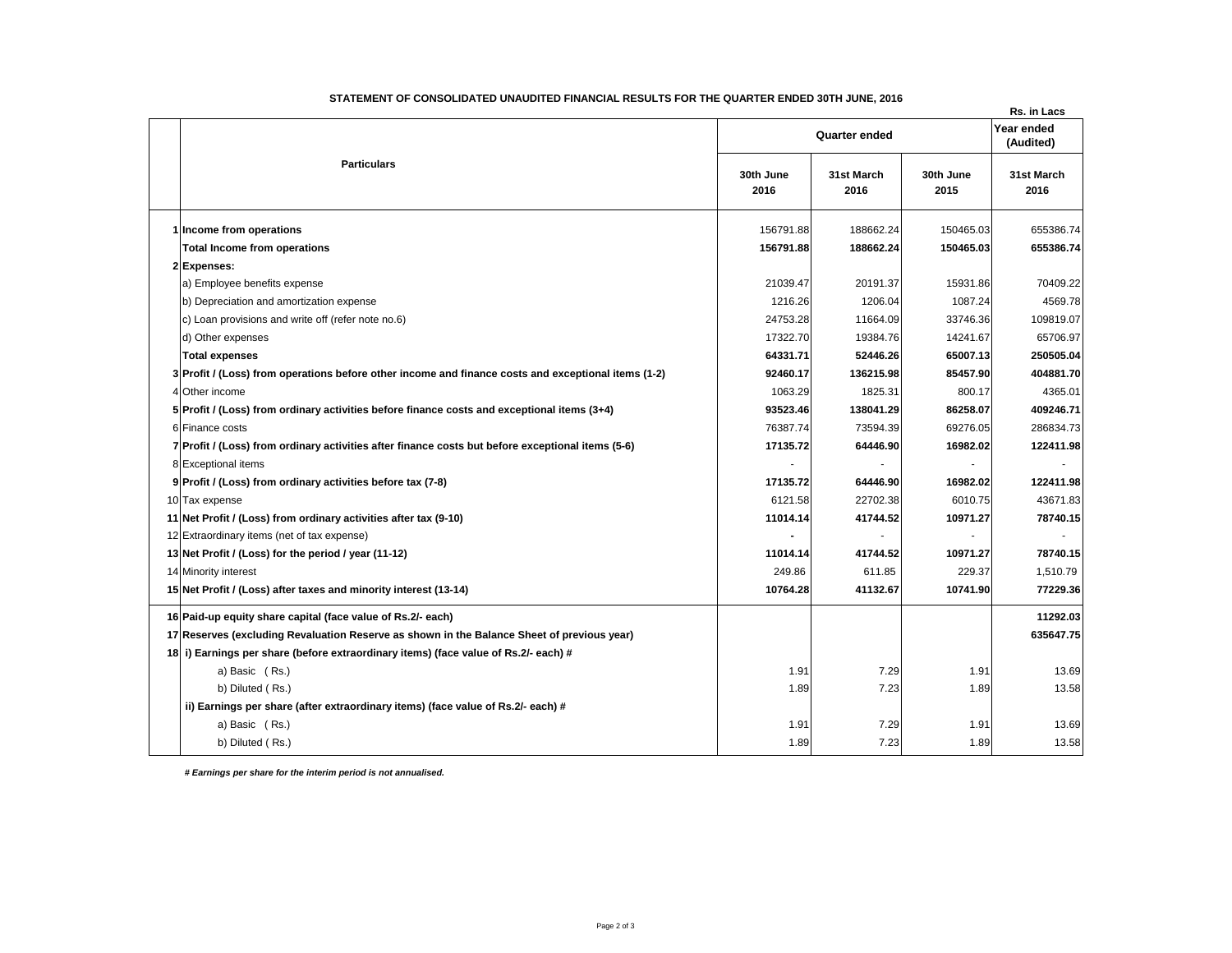|  | STATEMENT OF CONSOLIDATED UNAUDITED FINANCIAL RESULTS FOR THE QUARTER ENDED 30TH JUNE, 2016         |                   |                    |                   | Rs. in Lacs             |
|--|-----------------------------------------------------------------------------------------------------|-------------------|--------------------|-------------------|-------------------------|
|  | <b>Particulars</b>                                                                                  | Quarter ended     |                    |                   | Year ended<br>(Audited) |
|  |                                                                                                     | 30th June<br>2016 | 31st March<br>2016 | 30th June<br>2015 | 31st March<br>2016      |
|  | 1 Income from operations                                                                            | 156791.88         | 188662.24          | 150465.03         | 655386.74               |
|  | <b>Total Income from operations</b>                                                                 | 156791.88         | 188662.24          | 150465.03         | 655386.74               |
|  | 2 Expenses:                                                                                         |                   |                    |                   |                         |
|  | a) Employee benefits expense                                                                        | 21039.47          | 20191.37           | 15931.86          | 70409.22                |
|  | b) Depreciation and amortization expense                                                            | 1216.26           | 1206.04            | 1087.24           | 4569.78                 |
|  | c) Loan provisions and write off (refer note no.6)                                                  | 24753.28          | 11664.09           | 33746.36          | 109819.07               |
|  | d) Other expenses                                                                                   | 17322.70          | 19384.76           | 14241.67          | 65706.97                |
|  | <b>Total expenses</b>                                                                               | 64331.71          | 52446.26           | 65007.13          | 250505.04               |
|  | 3 Profit / (Loss) from operations before other income and finance costs and exceptional items (1-2) | 92460.17          | 136215.98          | 85457.90          | 404881.70               |
|  | 4 Other income                                                                                      | 1063.29           | 1825.31            | 800.17            | 4365.01                 |
|  | 5 Profit / (Loss) from ordinary activities before finance costs and exceptional items (3+4)         | 93523.46          | 138041.29          | 86258.07          | 409246.71               |
|  | 6 Finance costs                                                                                     | 76387.74          | 73594.39           | 69276.05          | 286834.73               |
|  | 7 Profit / (Loss) from ordinary activities after finance costs but before exceptional items (5-6)   | 17135.72          | 64446.90           | 16982.02          | 122411.98               |
|  | 8 Exceptional items                                                                                 |                   |                    |                   |                         |
|  | 9 Profit / (Loss) from ordinary activities before tax (7-8)                                         | 17135.72          | 64446.90           | 16982.02          | 122411.98               |
|  | 10 Tax expense                                                                                      | 6121.58           | 22702.38           | 6010.75           | 43671.83                |
|  | 11 Net Profit / (Loss) from ordinary activities after tax (9-10)                                    | 11014.14          | 41744.52           | 10971.27          | 78740.15                |
|  | 12 Extraordinary items (net of tax expense)                                                         |                   | $\sim$             | $\sim$            |                         |
|  | 13 Net Profit / (Loss) for the period / year (11-12)                                                | 11014.14          | 41744.52           | 10971.27          | 78740.15                |
|  | 14 Minority interest                                                                                | 249.86            | 611.85             | 229.37            | 1,510.79                |
|  | 15 Net Profit / (Loss) after taxes and minority interest (13-14)                                    | 10764.28          | 41132.67           | 10741.90          | 77229.36                |
|  | 16 Paid-up equity share capital (face value of Rs.2/- each)                                         |                   |                    |                   | 11292.03                |
|  | 17 Reserves (excluding Revaluation Reserve as shown in the Balance Sheet of previous year)          |                   |                    |                   | 635647.75               |
|  | 18 i) Earnings per share (before extraordinary items) (face value of Rs.2/- each) #                 |                   |                    |                   |                         |
|  | a) Basic (Rs.)                                                                                      | 1.91              | 7.29               | 1.91              | 13.69                   |
|  | b) Diluted (Rs.)                                                                                    | 1.89              | 7.23               | 1.89              | 13.58                   |
|  | ii) Earnings per share (after extraordinary items) (face value of Rs.2/- each) #                    |                   |                    |                   |                         |
|  | a) Basic (Rs.)                                                                                      | 1.91              | 7.29               | 1.91              | 13.69                   |
|  | b) Diluted (Rs.)                                                                                    | 1.89              | 7.23               | 1.89              | 13.58                   |

## **STATEMENT OF CONSOLIDATED UNAUDITED FINANCIAL RESULTS FOR THE QUARTER ENDED 30TH JUNE, 2016**

 *# Earnings per share for the interim period is not annualised.*